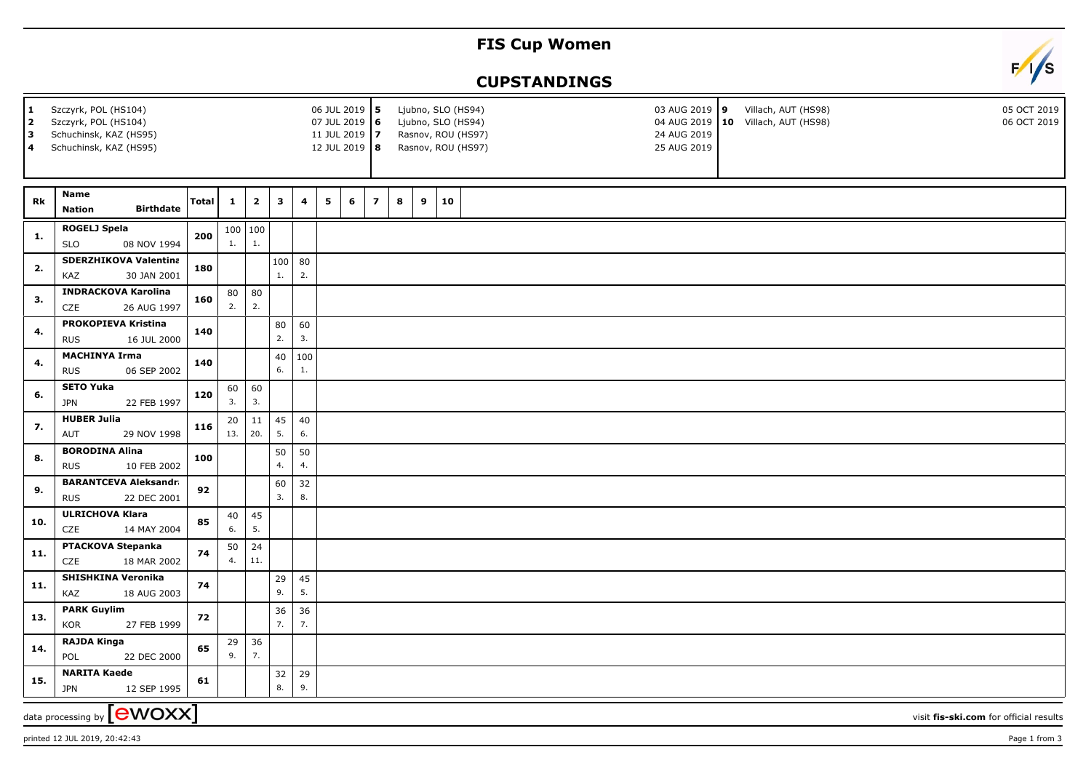## **FIS Cup Women**

## **CUPSTANDINGS**



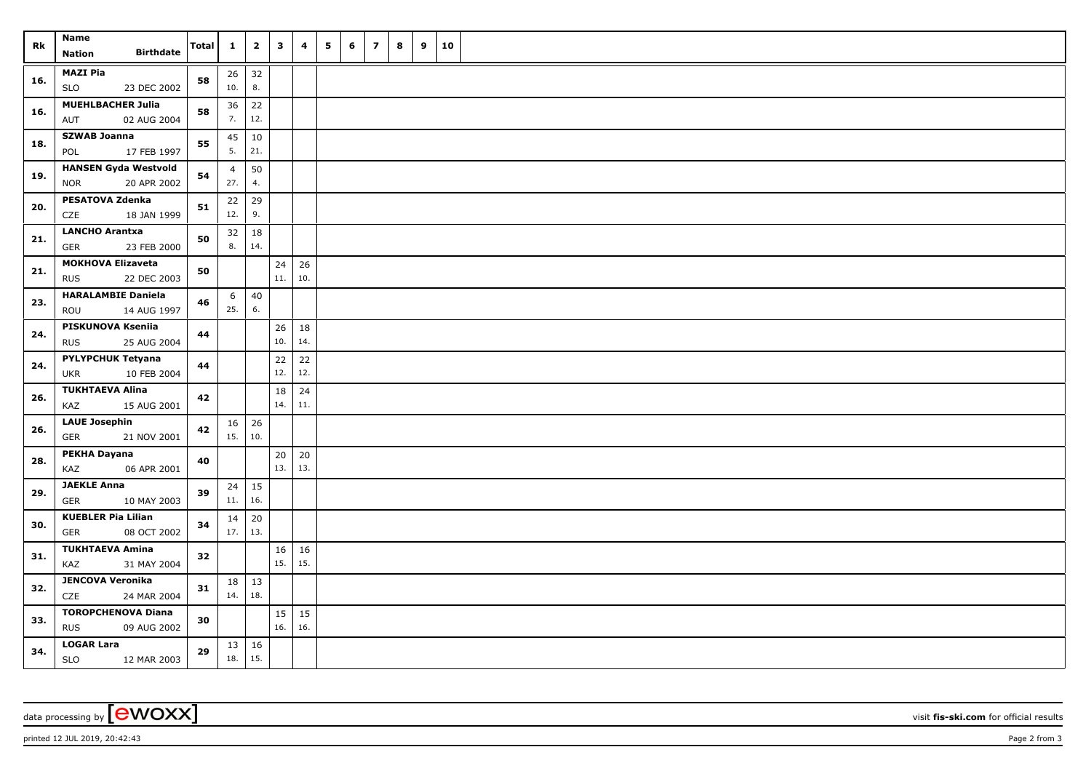| Rk  | Name<br><b>Birthdate</b><br><b>Nation</b>                | Total | $\mathbf{1}$              | $\overline{\mathbf{2}}$ | 3         | 4                   | 5 | 6 | $\overline{\mathbf{z}}$ | 8 | 9 | 10 |  |
|-----|----------------------------------------------------------|-------|---------------------------|-------------------------|-----------|---------------------|---|---|-------------------------|---|---|----|--|
| 16. | <b>MAZI Pia</b><br>23 DEC 2002<br><b>SLO</b>             | 58    | 10.                       | $26 \mid 32$<br>8.      |           |                     |   |   |                         |   |   |    |  |
| 16. | <b>MUEHLBACHER Julia</b><br>02 AUG 2004<br>AUT           | 58    | 36<br>7.                  | 22<br>12.               |           |                     |   |   |                         |   |   |    |  |
| 18. | <b>SZWAB Joanna</b><br>POL<br>17 FEB 1997                | 55    | 45<br>5.                  | 10<br>21.               |           |                     |   |   |                         |   |   |    |  |
| 19. | <b>HANSEN Gyda Westvold</b><br>20 APR 2002<br><b>NOR</b> | 54    | $\overline{4}$<br>27.     | 50<br>4.                |           |                     |   |   |                         |   |   |    |  |
| 20. | <b>PESATOVA Zdenka</b><br>18 JAN 1999<br>CZE             | 51    | 22<br>12.                 | 29<br>9.                |           |                     |   |   |                         |   |   |    |  |
| 21. | <b>LANCHO Arantxa</b><br><b>GER</b><br>23 FEB 2000       | 50    | 8.                        | $32 \mid 18$<br>14.     |           |                     |   |   |                         |   |   |    |  |
| 21. | <b>MOKHOVA Elizaveta</b><br>22 DEC 2003<br><b>RUS</b>    | 50    |                           |                         | 24<br>11. | 26<br>10.           |   |   |                         |   |   |    |  |
| 23. | <b>HARALAMBIE Daniela</b><br>ROU<br>14 AUG 1997          | 46    | 6<br>25.                  | 40<br>6.                |           |                     |   |   |                         |   |   |    |  |
| 24. | PISKUNOVA Kseniia<br>25 AUG 2004<br><b>RUS</b>           | 44    |                           |                         | 26<br>10. | 18<br>14.           |   |   |                         |   |   |    |  |
| 24. | <b>PYLYPCHUK Tetyana</b><br><b>UKR</b><br>10 FEB 2004    | 44    |                           |                         | 22<br>12. | 22<br>12.           |   |   |                         |   |   |    |  |
| 26. | <b>TUKHTAEVA Alina</b><br>KAZ<br>15 AUG 2001             | 42    |                           |                         | 18<br>14. | 24<br>11.           |   |   |                         |   |   |    |  |
| 26. | <b>LAUE Josephin</b><br>21 NOV 2001<br><b>GER</b>        | 42    | $16 \mid 26$<br>15.       | 10.                     |           |                     |   |   |                         |   |   |    |  |
| 28. | PEKHA Dayana<br>KAZ<br>06 APR 2001                       | 40    |                           |                         | 20<br>13. | 20<br>13.           |   |   |                         |   |   |    |  |
| 29. | <b>JAEKLE Anna</b><br><b>GER</b><br>10 MAY 2003          | 39    | 24<br>11.                 | 15<br>16.               |           |                     |   |   |                         |   |   |    |  |
| 30. | <b>KUEBLER Pia Lilian</b><br><b>GER</b><br>08 OCT 2002   | 34    | 14<br>$17.$ 13.           | 20                      |           |                     |   |   |                         |   |   |    |  |
| 31. | <b>TUKHTAEVA Amina</b><br>KAZ<br>31 MAY 2004             | 32    |                           |                         | 16<br>15. | 16<br>15.           |   |   |                         |   |   |    |  |
| 32. | <b>JENCOVA Veronika</b><br>CZE<br>24 MAR 2004            | 31    | $18 \mid 13$<br>14.   18. |                         |           |                     |   |   |                         |   |   |    |  |
| 33. | <b>TOROPCHENOVA Diana</b><br><b>RUS</b><br>09 AUG 2002   | 30    |                           |                         | 16.       | $15 \mid 15$<br>16. |   |   |                         |   |   |    |  |
| 34. | <b>LOGAR Lara</b><br>12 MAR 2003<br><b>SLO</b>           | 29    | 13 16<br>18.              | 15.                     |           |                     |   |   |                         |   |   |    |  |

data processing by **CWOXX** visit **fis-ski.com** for official results